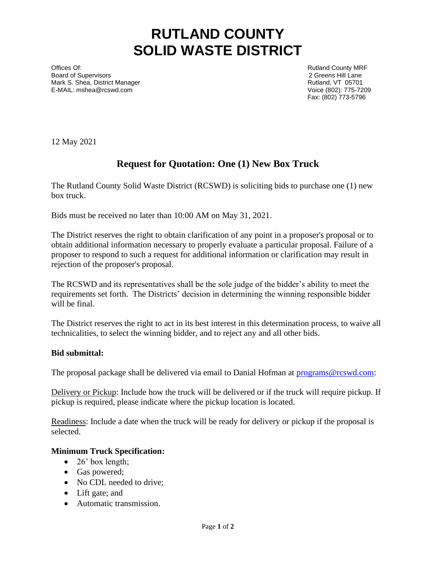# **RUTLAND COUNTY SOLID WASTE DISTRICT**

Offices Of: **Rutland County MRF County MRF COUNTY MRF Rutland County MRF** Board of Supervisors 2 Greens Hill Lane Mark S. Shea, District Manager **Rutland, VT 05701 Rutland, VT 05701** E-MAIL: [mshea@rcswd.com](mailto:mshea@rcswd.com) Voice (802): 775-7209

Fax: (802) 773-5796

12 May 2021

## **Request for Quotation: One (1) New Box Truck**

The Rutland County Solid Waste District (RCSWD) is soliciting bids to purchase one (1) new box truck.

Bids must be received no later than 10:00 AM on May 31, 2021.

The District reserves the right to obtain clarification of any point in a proposer's proposal or to obtain additional information necessary to properly evaluate a particular proposal. Failure of a proposer to respond to such a request for additional information or clarification may result in rejection of the proposer's proposal.

The RCSWD and its representatives shall be the sole judge of the bidder's ability to meet the requirements set forth. The Districts' decision in determining the winning responsible bidder will be final.

The District reserves the right to act in its best interest in this determination process, to waive all technicalities, to select the winning bidder, and to reject any and all other bids.

### **Bid submittal:**

The proposal package shall be delivered via email to Danial Hofman at [programs@rcswd.com:](mailto:programs@rcswd.com)

Delivery or Pickup: Include how the truck will be delivered or if the truck will require pickup. If pickup is required, please indicate where the pickup location is located.

Readiness: Include a date when the truck will be ready for delivery or pickup if the proposal is selected.

### **Minimum Truck Specification:**

- $\bullet$  26' box length;
- Gas powered;
- No CDL needed to drive;
- Lift gate; and
- Automatic transmission.